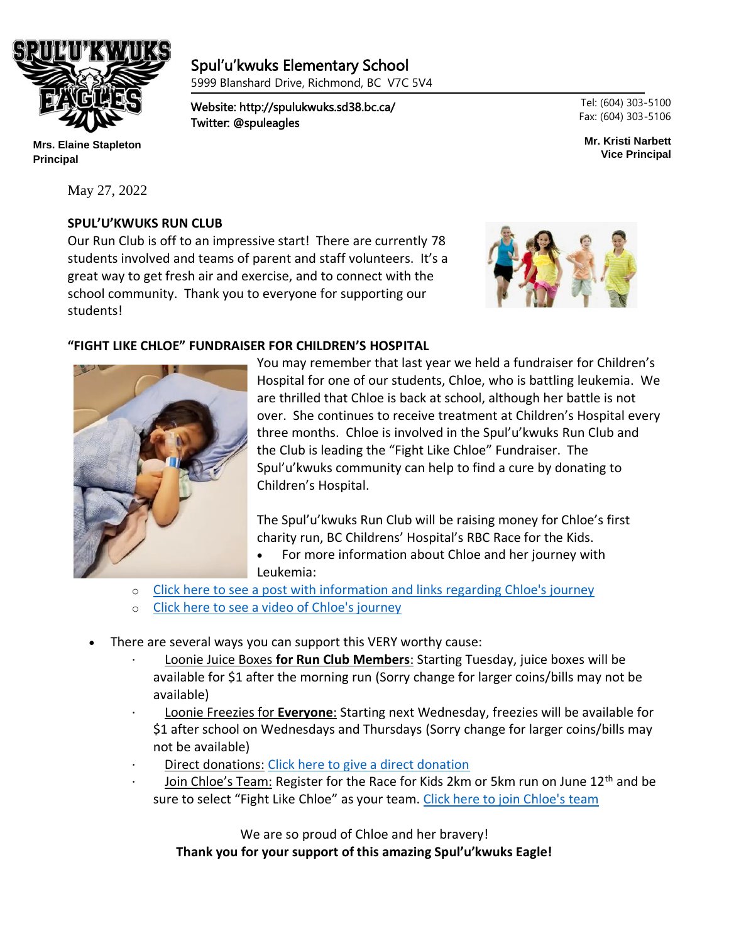

**Mrs. Elaine Stapleton Principal**

May 27, 2022

# **SPUL'U'KWUKS RUN CLUB**

٦

Our Run Club is off to an impressive start! There are currently 78 students involved and teams of parent and staff volunteers. It's a great way to get fresh air and exercise, and to connect with the school community. Thank you to everyone for supporting our students!

Twitter: @spuleagles

Spul'u'kwuks Elementary School 5999 Blanshard Drive, Richmond, BC V7C 5V4

Website: http://spulukwuks.sd38.bc.ca/



# **"FIGHT LIKE CHLOE" FUNDRAISER FOR CHILDREN'S HOSPITAL**



You may remember that last year we held a fundraiser for Children's Hospital for one of our students, Chloe, who is battling leukemia. We are thrilled that Chloe is back at school, although her battle is not over. She continues to receive treatment at Children's Hospital every three months. Chloe is involved in the Spul'u'kwuks Run Club and the Club is leading the "Fight Like Chloe" Fundraiser. The Spul'u'kwuks community can help to find a cure by donating to Children's Hospital.

The Spul'u'kwuks Run Club will be raising money for Chloe's first charity run, BC Childrens' Hospital's RBC Race for the Kids.

• For more information about Chloe and her journey with Leukemia:

- o [Click here to see a post with information and links regarding Chloe's journey](https://m.facebook.com/story.php?story_fbid=10158375138006857&id=617761856&sfnsn=mo)
- o [Click here to see a video of Chloe's journey](https://www.youtube.com/watch?v=qFkLoGV_IX8&t=40s&ab_channel=BigOnion)
- There are several ways you can support this VERY worthy cause:
	- · Loonie Juice Boxes **for Run Club Members**: Starting Tuesday, juice boxes will be available for \$1 after the morning run (Sorry change for larger coins/bills may not be available)
	- · Loonie Freezies for **Everyone**: Starting next Wednesday, freezies will be available for \$1 after school on Wednesdays and Thursdays (Sorry change for larger coins/bills may not be available)
	- Direct donations: [Click here to give a direct donation](https://secured.bcchf.ca/registrant/FundraisingPage.aspx?registrationID=5094696&langPref=en-CA&fbclid=IwAR0K1L28I1wtTmaetKUhh2L215U7P8oAR9IodjQmpx7cM_rPkH9OFoYgOrQ)
	- Join Chloe's Team: Register for the Race for Kids 2km or 5km run on June 12<sup>th</sup> and be sure to select "Fight Like Chloe" as your team. [Click here to join Chloe's team](https://secured.bcchf.ca/registrant/ReturningRegistrantOption.aspx?EventID=367695&LangPref=en-CA&welcomeBackReg=y)

We are so proud of Chloe and her bravery! **Thank you for your support of this amazing Spul'u'kwuks Eagle!** Tel: (604) 303-5100 Fax: (604) 303-5106

**Mr. Kristi Narbett Vice Principal**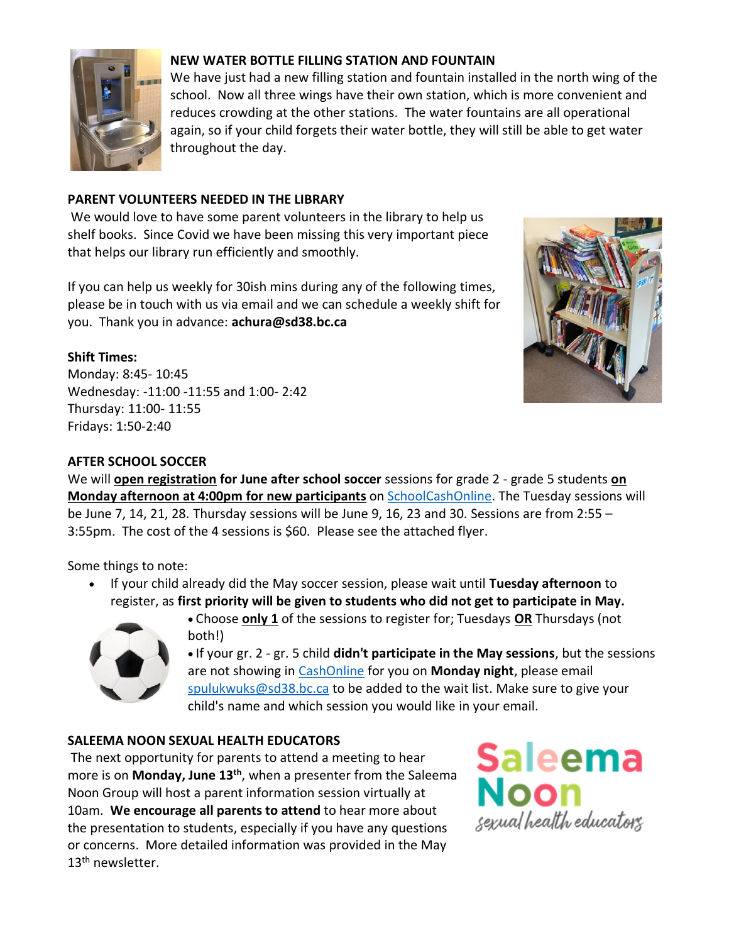

# **NEW WATER BOTTLE FILLING STATION AND FOUNTAIN**

We have just had a new filling station and fountain installed in the north wing of the school. Now all three wings have their own station, which is more convenient and reduces crowding at the other stations. The water fountains are all operational again, so if your child forgets their water bottle, they will still be able to get water throughout the day.

# **PARENT VOLUNTEERS NEEDED IN THE LIBRARY**

We would love to have some parent volunteers in the library to help us shelf books. Since Covid we have been missing this very important piece that helps our library run efficiently and smoothly.

If you can help us weekly for 30ish mins during any of the following times, please be in touch with us via email and we can schedule a weekly shift for you. Thank you in advance: **achura@sd38.bc.ca**

# **Shift Times:**

Monday: 8:45- 10:45 Wednesday: -11:00 -11:55 and 1:00- 2:42 Thursday: 11:00- 11:55 Fridays: 1:50-2:40



# **AFTER SCHOOL SOCCER**

We will **open registration for June after school soccer** sessions for grade 2 - grade 5 students **on Monday afternoon at 4:00pm for new participants** on [SchoolCashOnline.](https://richmondsd38.schoolcashonline.com/) The Tuesday sessions will be June 7, 14, 21, 28. Thursday sessions will be June 9, 16, 23 and 30. Sessions are from 2:55 – 3:55pm. The cost of the 4 sessions is \$60. Please see the attached flyer.

Some things to note:

• If your child already did the May soccer session, please wait until **Tuesday afternoon** to register, as **first priority will be given to students who did not get to participate in May.**



• Choose **only 1** of the sessions to register for; Tuesdays **OR** Thursdays (not both!)

• If your gr. 2 - gr. 5 child **didn't participate in the May sessions**, but the sessions are not showing in [CashOnline](https://richmondsd38.schoolcashonline.com/) for you on **Monday night**, please email [spulukwuks@sd38.bc.ca](mailto:spulukwuks@sd38.bc.ca?subject=Wait%20List%20Request) to be added to the wait list. Make sure to give your child's name and which session you would like in your email.

#### **SALEEMA NOON SEXUAL HEALTH EDUCATORS**

The next opportunity for parents to attend a meeting to hear more is on **Monday, June 13th** , when a presenter from the Saleema Noon Group will host a parent information session virtually at 10am. **We encourage all parents to attend** to hear more about the presentation to students, especially if you have any questions or concerns. More detailed information was provided in the May  $13<sup>th</sup>$  newsletter.